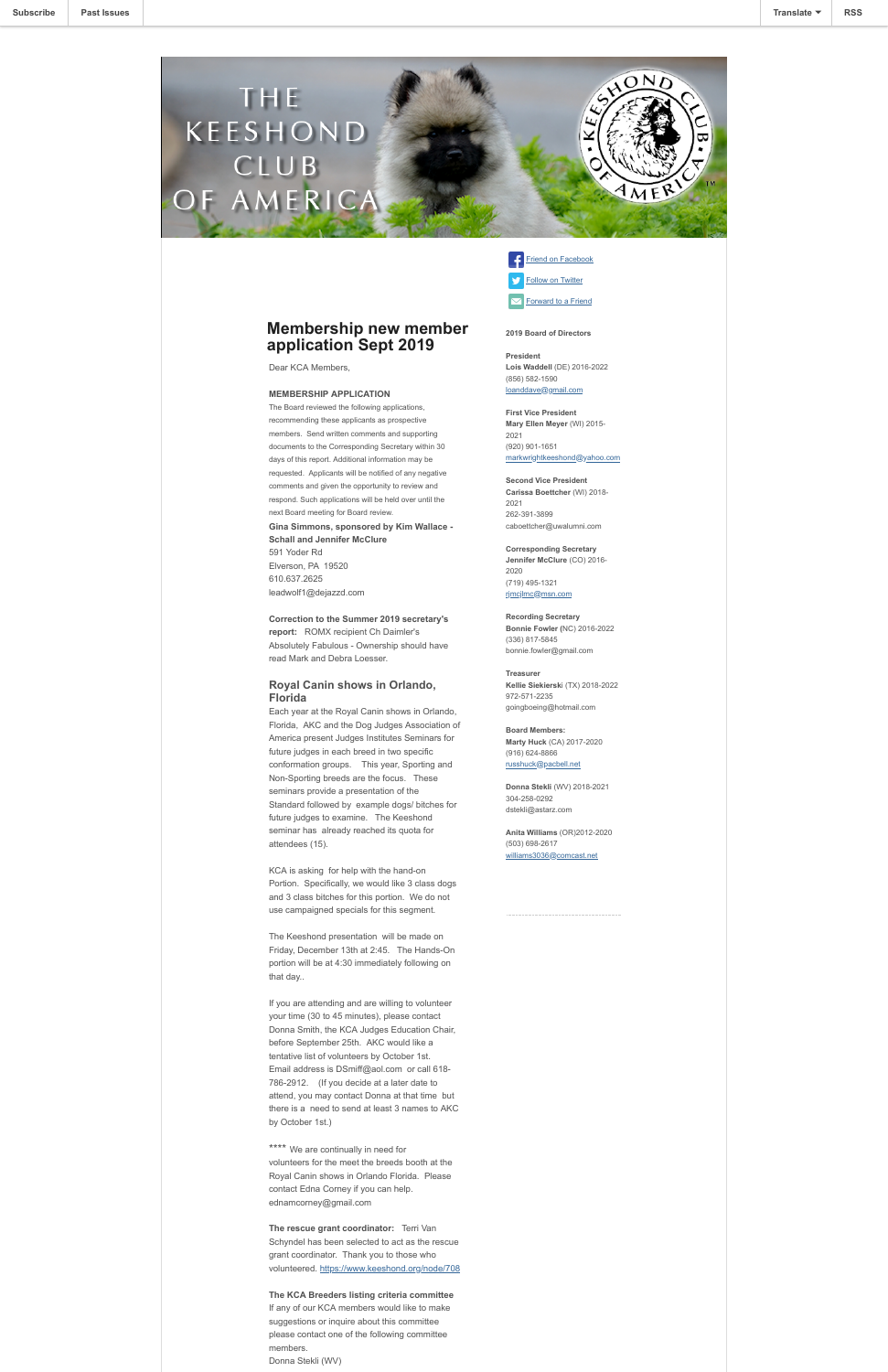## **Membership new member application Sept 2019**

Dear KCA Members,

#### **MEMBERSHIP APPLICATION**

The Board reviewed the following applications, recommending these applicants as prospective members. Send written comments and supporting documents to the Corresponding Secretary within 30 days of this report. Additional information may be requested. Applicants will be notified of any negative comments and given the opportunity to review and respond. Such applications will be held over until the next Board meeting for Board review. **Gina Simmons, sponsored by Kim Wallace - Schall and Jennifer McClure** 591 Yoder Rd Elverson, PA 19520 610.637.2625 leadwolf1@dejazzd.com

**Correction to the Summer 2019 secretary's report:** ROMX recipient Ch Daimler's Absolutely Fabulous - Ownership should have read Mark and Debra Loesser.

### **Royal Canin shows in Orlando, Florida**

Each year at the Royal Canin shows in Orlando, Florida, AKC and the Dog Judges Association of America present Judges Institutes Seminars for future judges in each breed in two specific conformation groups. This year, Sporting and Non-Sporting breeds are the focus. These seminars provide a presentation of the Standard followed by example dogs/ bitches for future judges to examine. The Keeshond seminar has already reached its quota for attendees (15).

\*\*\*\* We are continually in need for volunteers for the meet the breeds booth at the Royal Canin shows in Orlando Florida. Please contact Edna Corney if you can help. ednamcorney@gmail.com

KCA is asking for help with the hand-on Portion. Specifically, we would like 3 class dogs and 3 class bitches for this portion. We do not use campaigned specials for this segment.

The Keeshond presentation will be made on Friday, December 13th at 2:45. The Hands-On portion will be at 4:30 immediately following on that day..

If you are attending and are willing to volunteer

# Friend on Facebook **[Follow on Twitter](https://mailchi.mp/89c53548f7de/Twitter%20Account%20not%20yet%20Authorized)**

 $\boxdot$  [Forward to a Friend](http://us4.forward-to-friend.com/forward?u=04aaf46f865822ea141aa6008&id=3696c7e2ba&e=f35b1e0dbb)

**Anita Williams** (OR)2012-2020 (503) 698-2617 [williams3036@comcast.net](mailto:williams3036@comcast.net)

your time (30 to 45 minutes), please contact Donna Smith, the KCA Judges Education Chair, before September 25th. AKC would like a tentative list of volunteers by October 1st. Email address is DSmiff@aol.com or call 618- 786-2912. (If you decide at a later date to attend, you may contact Donna at that time but there is a need to send at least 3 names to AKC by October 1st.)

**The rescue grant coordinator:** Terri Van Schyndel has been selected to act as the rescue grant coordinator. Thank you to those who volunteered.<https://www.keeshond.org/node/708>

### **The KCA Breeders listing criteria committee**

If any of our KCA members would like to make suggestions or inquire about this committee please contact one of the following committee members.

Donna Stekli (WV)

### **2019 Board of Directors**

**President Lois Waddell** (DE) 2016-2022 (856) 582-1590 [loanddave@gmail.com](mailto:loanddave@gmail.com)

**First Vice President Mary Ellen Meyer** (WI) 2015- 2021 (920) 901-1651 [markwrightkeeshond@yahoo.com](mailto:markwrightkeeshond@yahoo.com)

**Second Vice President Carissa Boettcher** (WI) 2018- 2021 262-391-3899 caboettcher@uwalumni.com

**Corresponding Secretary Jennifer McClure** (CO) 2016- 2020 (719) 495-1321 [rjmcjlmc@msn.com](mailto:rjmcjlmc@msn.com)

**Recording Secretary Bonnie Fowler (**NC) 2016-2022 (336) 817-5845 bonnie.fowler@gmail.com

**Treasurer Kellie Siekiersk**i (TX) 2018-2022 972-571-2235 goingboeing@hotmail.com

**Board Members: Marty Huck** (CA) 2017-2020 (916) 624-8866 [russhuck@pacbell.net](mailto:russhuck@PacBell.net)

**Donna Stekli** (WV) 2018-2021 304-258-0292 dstekli@astarz.com